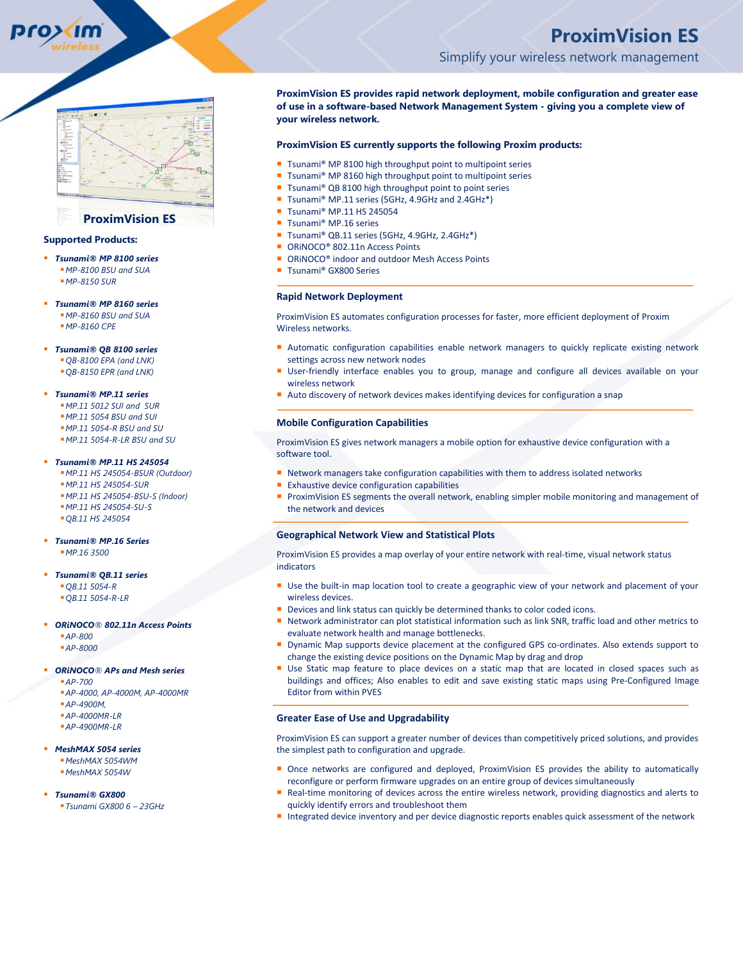

# **Supported Products:**

- *Tsunami® MP 8100 series MP-8100 BSU and SUA MP-8150 SUR*
- *Tsunami® MP 8160 series MP-8160 BSU and SUA MP-8160 CPE*
- *Tsunami® QB 8100 series QB-8100 EPA (and LNK) QB-8150 EPR (and LNK)*
- *Tsunami® MP.11 series MP.11 5012 SUI and SUR MP.11 5054 BSU and SUI MP.11 5054-R BSU and SU*
- *MP.11 5054-R-LR BSU and SU*
- *Tsunami® MP.11 HS 245054 MP.11 HS 245054-BSUR (Outdoor) MP.11 HS 245054-SUR MP.11 HS 245054-BSU-S (Indoor) MP.11 HS 245054-SU-S QB.11 HS 245054*
- *Tsunami® MP.16 Series MP.16 3500*
- *Tsunami® QB.11 series QB.11 5054-R QB.11 5054-R-LR*
- *ORiNOCO® 802.11n Access Points AP-800 AP-8000*
- *ORiNOCO® APs and Mesh series AP-700*

*AP-4000, AP-4000M, AP-4000MR AP-4900M, AP-4000MR-LR AP-4900MR-LR*

- *MeshMAX 5054 series MeshMAX 5054WM MeshMAX 5054W*
- *Tsunami® GX800 Tsunami GX800 6 – 23GHz*

# **ProximVision ES** Simplify your wireless network management

**ProximVision ES provides rapid network deployment, mobile configuration and greater ease of use in a software-based Network Management System - giving you a complete view of your wireless network.**

# **ProximVision ES currently supports the following Proxim products:**

- Tsunami® MP 8100 high throughput point to multipoint series
- Tsunami<sup>®</sup> MP 8160 high throughput point to multipoint series
- Tsunami® QB 8100 high throughput point to point series
- Tsunami® MP.11 series (5GHz, 4.9GHz and 2.4GHz<sup>\*</sup>)
- Tsunami® MP.11 HS 245054
- Tsunami<sup>®</sup> MP.16 series
- Tsunami® QB.11 series (5GHz, 4.9GHz, 2.4GHz<sup>\*</sup>)
- ORiNOCO<sup>®</sup> 802.11n Access Points
- ORINOCO<sup>®</sup> indoor and outdoor Mesh Access Points
- Tsunami® GX800 Series

#### **Rapid Network Deployment**

ProximVision ES automates configuration processes for faster, more efficient deployment of Proxim Wireless networks.

- **Automatic configuration capabilities enable network managers to quickly replicate existing network** settings across new network nodes
- User-friendly interface enables you to group, manage and configure all devices available on your wireless network
- Auto discovery of network devices makes identifying devices for configuration a snap

#### **Mobile Configuration Capabilities**

ProximVision ES gives network managers a mobile option for exhaustive device configuration with a software tool.

- Network managers take configuration capabilities with them to address isolated networks
- **Exhaustive device configuration capabilities**
- **ProximVision ES segments the overall network, enabling simpler mobile monitoring and management of** the network and devices

#### **Geographical Network View and Statistical Plots**

ProximVision ES provides a map overlay of your entire network with real-time, visual network status indicators

- Use the built-in map location tool to create a geographic view of your network and placement of your wireless devices.
- Devices and link status can quickly be determined thanks to color coded icons.
- Network administrator can plot statistical information such as link SNR, traffic load and other metrics to evaluate network health and manage bottlenecks.
- Dynamic Map supports device placement at the configured GPS co-ordinates. Also extends support to change the existing device positions on the Dynamic Map by drag and drop
- Use Static map feature to place devices on a static map that are located in closed spaces such as buildings and offices; Also enables to edit and save existing static maps using Pre-Configured Image Editor from within PVES

### **Greater Ease of Use and Upgradability**

ProximVision ES can support a greater number of devices than competitively priced solutions, and provides the simplest path to configuration and upgrade.

- Once networks are configured and deployed, ProximVision ES provides the ability to automatically reconfigure or perform firmware upgrades on an entire group of devices simultaneously
- Real-time monitoring of devices across the entire wireless network, providing diagnostics and alerts to quickly identify errors and troubleshoot them
- Integrated device inventory and per device diagnostic reports enables quick assessment of the network